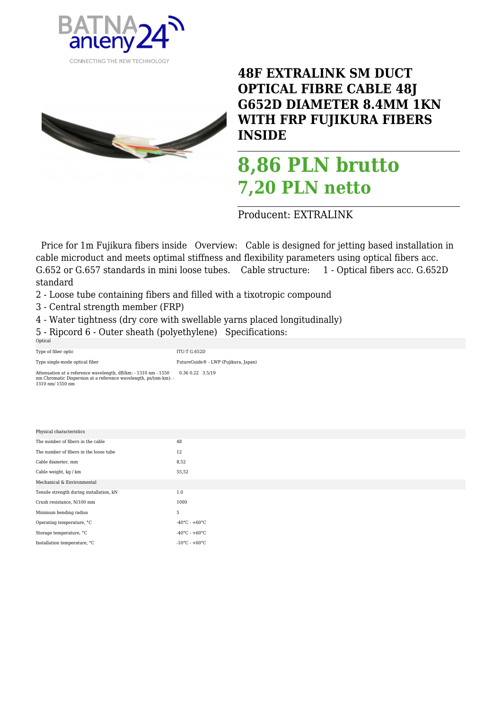



**48F EXTRALINK SM DUCT OPTICAL FIBRE CABLE 48J G652D DIAMETER 8.4MM 1KN WITH FRP FUJIKURA FIBERS INSIDE** 

## **8,86 PLN brutto 7,20 PLN netto**

Producent: EXTRALINK

 Price for 1m Fujikura fibers inside Overview: Cable is designed for jetting based installation in cable microduct and meets optimal stiffness and flexibility parameters using optical fibers acc. G.652 or G.657 standards in mini loose tubes. Cable structure: 1 - Optical fibers acc. G.652D standard

- 2 Loose tube containing fibers and filled with a tixotropic compound
- 3 Central strength member (FRP)
- 4 Water tightness (dry core with swellable yarns placed longitudinally)
- 5 Ripcord 6 Outer sheath (polyethylene) Specifications:

| Optical                                                                                                                                                |                     |                                      |  |
|--------------------------------------------------------------------------------------------------------------------------------------------------------|---------------------|--------------------------------------|--|
| Type of fiber optic                                                                                                                                    | <b>ITU-T G.652D</b> |                                      |  |
| Type single-mode optical fiber                                                                                                                         |                     | FutureGuide® - LWP (Fujikura, Japan) |  |
| Attenuation at a reference wavelength, dB/km: - 1310 nm - 1550<br>nm Chromatic Dispersion at a reference wavelength, ps/(nm·km): -<br>1310 nm/ 1550 nm | 0.36 0.22 3.5/19    |                                      |  |

| Physical characteristics                 |                                    |
|------------------------------------------|------------------------------------|
| The number of fibers in the cable        | 48                                 |
| The number of fibers in the loose tube   | 12                                 |
| Cable diameter, mm                       | 8,52                               |
| Cable weight, kg / km                    | 55,52                              |
| Mechanical & Environmental               |                                    |
| Tensile strength during installation, kN | 1.0                                |
| Crush resistance, N/100 mm               | 1000                               |
| Minimum bending radius                   | 5                                  |
| Operating temperature, °C                | $-40^{\circ}$ C - $+60^{\circ}$ C  |
| Storage temperature, °C                  | $-40^{\circ}$ C - $+60^{\circ}$ C  |
| Installation temperature, °C             | $-10^{\circ}$ C - +60 $^{\circ}$ C |